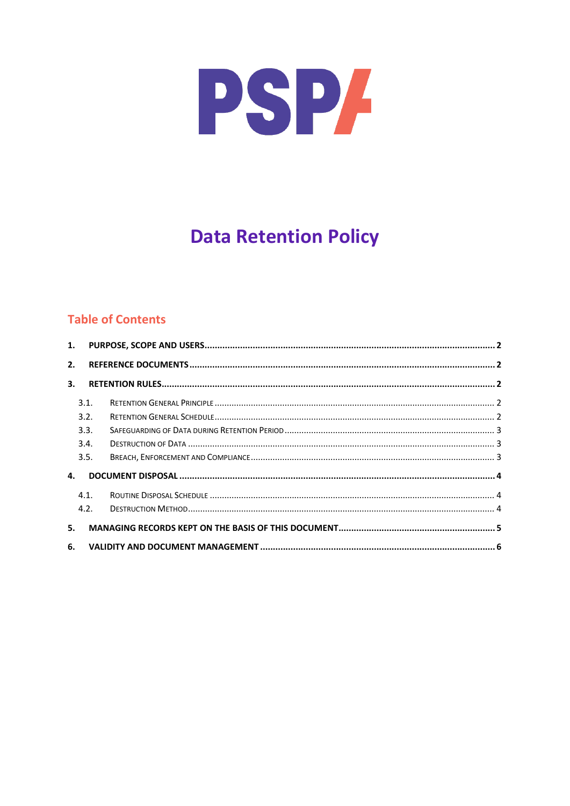

# **Data Retention Policy**

# **Table of Contents**

| 2. |      |  |  |  |  |  |  |
|----|------|--|--|--|--|--|--|
| 3. |      |  |  |  |  |  |  |
|    | 3.1. |  |  |  |  |  |  |
|    | 3.2. |  |  |  |  |  |  |
|    | 3.3. |  |  |  |  |  |  |
|    | 3.4. |  |  |  |  |  |  |
|    | 3.5. |  |  |  |  |  |  |
| 4. |      |  |  |  |  |  |  |
|    | 4.1. |  |  |  |  |  |  |
|    | 4.2. |  |  |  |  |  |  |
| 5. |      |  |  |  |  |  |  |
| 6. |      |  |  |  |  |  |  |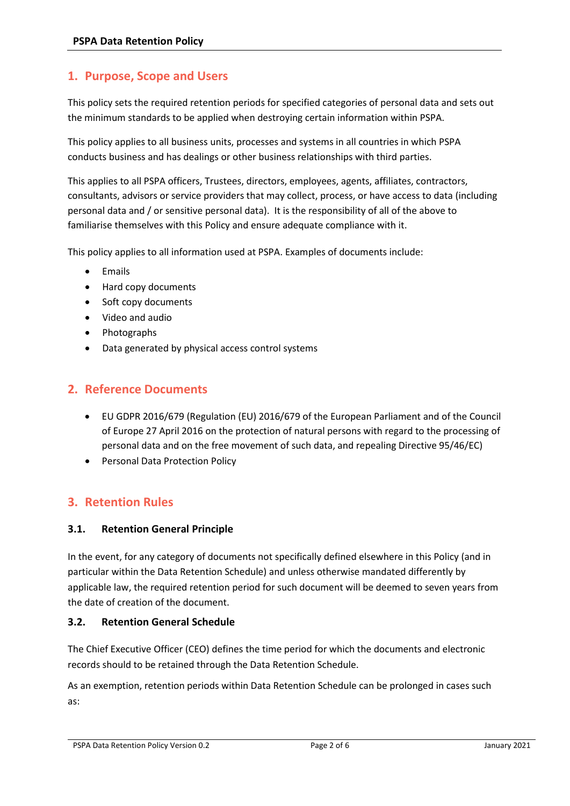# <span id="page-1-0"></span>**1. Purpose, Scope and Users**

This policy sets the required retention periods for specified categories of personal data and sets out the minimum standards to be applied when destroying certain information within PSPA.

This policy applies to all business units, processes and systems in all countries in which PSPA conducts business and has dealings or other business relationships with third parties.

This applies to all PSPA officers, Trustees, directors, employees, agents, affiliates, contractors, consultants, advisors or service providers that may collect, process, or have access to data (including personal data and / or sensitive personal data). It is the responsibility of all of the above to familiarise themselves with this Policy and ensure adequate compliance with it.

This policy applies to all information used at PSPA. Examples of documents include:

- Emails
- Hard copy documents
- Soft copy documents
- Video and audio
- Photographs
- Data generated by physical access control systems

## <span id="page-1-1"></span>**2. Reference Documents**

- EU GDPR 2016/679 (Regulation (EU) 2016/679 of the European Parliament and of the Council of Europe 27 April 2016 on the protection of natural persons with regard to the processing of personal data and on the free movement of such data, and repealing Directive 95/46/EC)
- Personal Data Protection Policy

## <span id="page-1-2"></span>**3. Retention Rules**

#### <span id="page-1-3"></span>**3.1. Retention General Principle**

In the event, for any category of documents not specifically defined elsewhere in this Policy (and in particular within the Data Retention Schedule) and unless otherwise mandated differently by applicable law, the required retention period for such document will be deemed to seven years from the date of creation of the document.

#### <span id="page-1-4"></span>**3.2. Retention General Schedule**

The Chief Executive Officer (CEO) defines the time period for which the documents and electronic records should to be retained through the Data Retention Schedule.

As an exemption, retention periods within Data Retention Schedule can be prolonged in cases such as: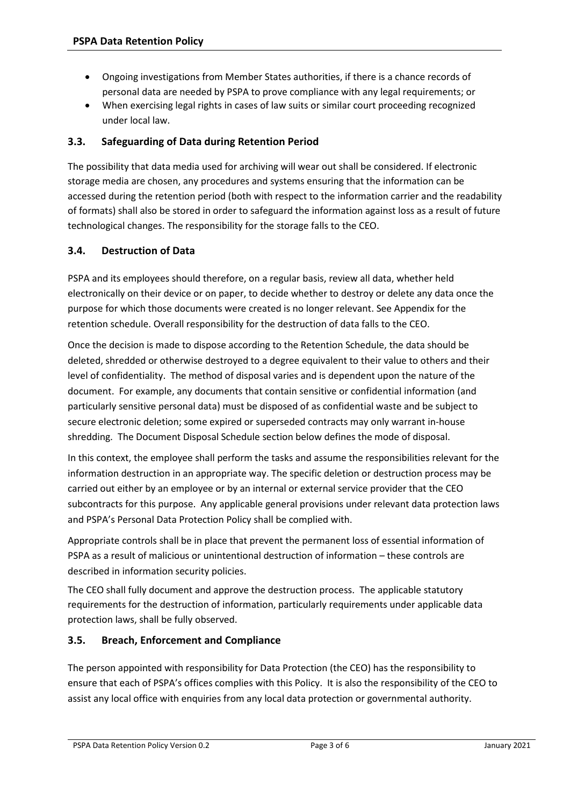- Ongoing investigations from Member States authorities, if there is a chance records of personal data are needed by PSPA to prove compliance with any legal requirements; or
- When exercising legal rights in cases of law suits or similar court proceeding recognized under local law.

#### <span id="page-2-0"></span>**3.3. Safeguarding of Data during Retention Period**

The possibility that data media used for archiving will wear out shall be considered. If electronic storage media are chosen, any procedures and systems ensuring that the information can be accessed during the retention period (both with respect to the information carrier and the readability of formats) shall also be stored in order to safeguard the information against loss as a result of future technological changes. The responsibility for the storage falls to the CEO.

#### <span id="page-2-1"></span>**3.4. Destruction of Data**

PSPA and its employees should therefore, on a regular basis, review all data, whether held electronically on their device or on paper, to decide whether to destroy or delete any data once the purpose for which those documents were created is no longer relevant. See Appendix for the retention schedule. Overall responsibility for the destruction of data falls to the CEO.

Once the decision is made to dispose according to the Retention Schedule, the data should be deleted, shredded or otherwise destroyed to a degree equivalent to their value to others and their level of confidentiality. The method of disposal varies and is dependent upon the nature of the document. For example, any documents that contain sensitive or confidential information (and particularly sensitive personal data) must be disposed of as confidential waste and be subject to secure electronic deletion; some expired or superseded contracts may only warrant in-house shredding. The Document Disposal Schedule section below defines the mode of disposal.

In this context, the employee shall perform the tasks and assume the responsibilities relevant for the information destruction in an appropriate way. The specific deletion or destruction process may be carried out either by an employee or by an internal or external service provider that the CEO subcontracts for this purpose. Any applicable general provisions under relevant data protection laws and PSPA's Personal Data Protection Policy shall be complied with.

Appropriate controls shall be in place that prevent the permanent loss of essential information of PSPA as a result of malicious or unintentional destruction of information – these controls are described in information security policies.

The CEO shall fully document and approve the destruction process. The applicable statutory requirements for the destruction of information, particularly requirements under applicable data protection laws, shall be fully observed.

#### <span id="page-2-2"></span>**3.5. Breach, Enforcement and Compliance**

The person appointed with responsibility for Data Protection (the CEO) has the responsibility to ensure that each of PSPA's offices complies with this Policy. It is also the responsibility of the CEO to assist any local office with enquiries from any local data protection or governmental authority.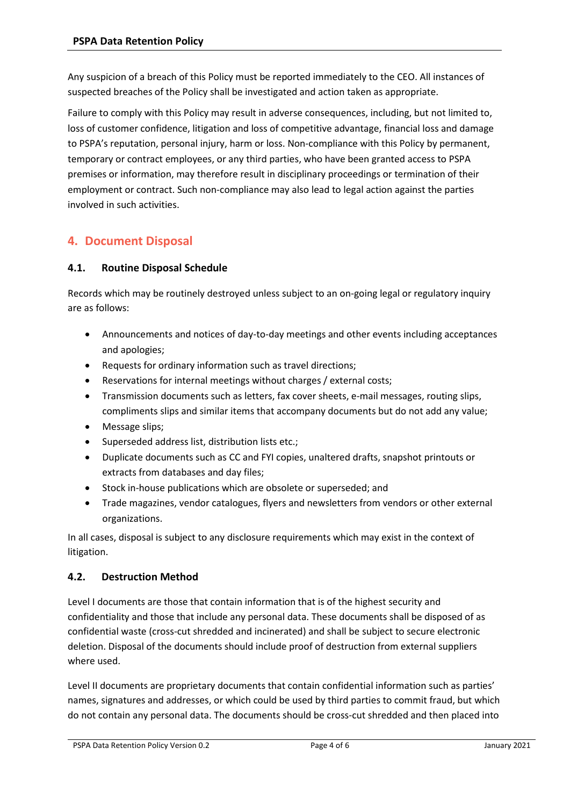Any suspicion of a breach of this Policy must be reported immediately to the CEO. All instances of suspected breaches of the Policy shall be investigated and action taken as appropriate.

Failure to comply with this Policy may result in adverse consequences, including, but not limited to, loss of customer confidence, litigation and loss of competitive advantage, financial loss and damage to PSPA's reputation, personal injury, harm or loss. Non-compliance with this Policy by permanent, temporary or contract employees, or any third parties, who have been granted access to PSPA premises or information, may therefore result in disciplinary proceedings or termination of their employment or contract. Such non-compliance may also lead to legal action against the parties involved in such activities.

# <span id="page-3-0"></span>**4. Document Disposal**

#### <span id="page-3-1"></span>**4.1. Routine Disposal Schedule**

Records which may be routinely destroyed unless subject to an on-going legal or regulatory inquiry are as follows:

- Announcements and notices of day-to-day meetings and other events including acceptances and apologies;
- Requests for ordinary information such as travel directions;
- Reservations for internal meetings without charges / external costs;
- Transmission documents such as letters, fax cover sheets, e-mail messages, routing slips, compliments slips and similar items that accompany documents but do not add any value;
- Message slips;
- Superseded address list, distribution lists etc.;
- Duplicate documents such as CC and FYI copies, unaltered drafts, snapshot printouts or extracts from databases and day files;
- Stock in-house publications which are obsolete or superseded; and
- Trade magazines, vendor catalogues, flyers and newsletters from vendors or other external organizations.

In all cases, disposal is subject to any disclosure requirements which may exist in the context of litigation.

## <span id="page-3-2"></span>**4.2. Destruction Method**

Level I documents are those that contain information that is of the highest security and confidentiality and those that include any personal data. These documents shall be disposed of as confidential waste (cross-cut shredded and incinerated) and shall be subject to secure electronic deletion. Disposal of the documents should include proof of destruction from external suppliers where used.

Level II documents are proprietary documents that contain confidential information such as parties' names, signatures and addresses, or which could be used by third parties to commit fraud, but which do not contain any personal data. The documents should be cross-cut shredded and then placed into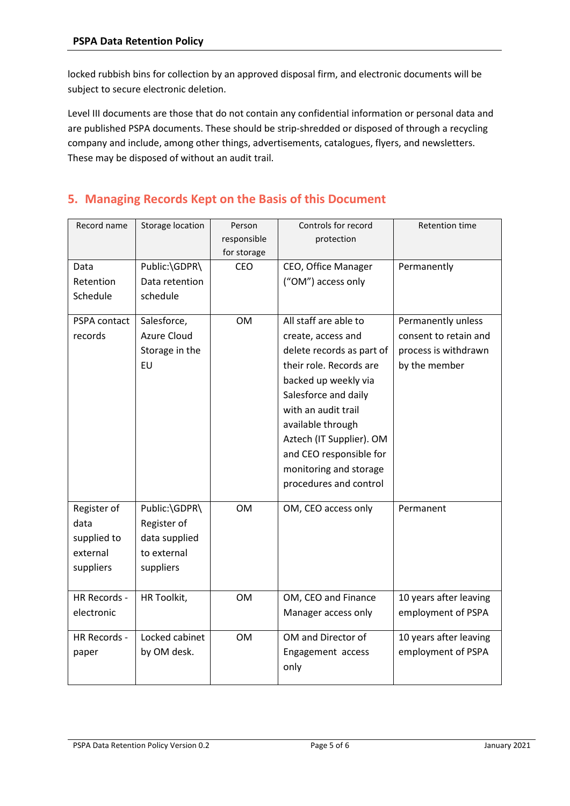locked rubbish bins for collection by an approved disposal firm, and electronic documents will be subject to secure electronic deletion.

Level III documents are those that do not contain any confidential information or personal data and are published PSPA documents. These should be strip-shredded or disposed of through a recycling company and include, among other things, advertisements, catalogues, flyers, and newsletters. These may be disposed of without an audit trail.

# <span id="page-4-0"></span>**5. Managing Records Kept on the Basis of this Document**

| Record name                                                 | Storage location                                                          | Person<br>responsible<br>for storage | Controls for record<br>protection                                                                                                                                                                                                                                                                          | <b>Retention time</b>                                                                |
|-------------------------------------------------------------|---------------------------------------------------------------------------|--------------------------------------|------------------------------------------------------------------------------------------------------------------------------------------------------------------------------------------------------------------------------------------------------------------------------------------------------------|--------------------------------------------------------------------------------------|
| Data<br>Retention<br>Schedule                               | Public:\GDPR\<br>Data retention<br>schedule                               | <b>CEO</b>                           | CEO, Office Manager<br>("OM") access only                                                                                                                                                                                                                                                                  | Permanently                                                                          |
| PSPA contact<br>records                                     | Salesforce,<br><b>Azure Cloud</b><br>Storage in the<br>EU                 | <b>OM</b>                            | All staff are able to<br>create, access and<br>delete records as part of<br>their role. Records are<br>backed up weekly via<br>Salesforce and daily<br>with an audit trail<br>available through<br>Aztech (IT Supplier). OM<br>and CEO responsible for<br>monitoring and storage<br>procedures and control | Permanently unless<br>consent to retain and<br>process is withdrawn<br>by the member |
| Register of<br>data<br>supplied to<br>external<br>suppliers | Public:\GDPR\<br>Register of<br>data supplied<br>to external<br>suppliers | <b>OM</b>                            | OM, CEO access only                                                                                                                                                                                                                                                                                        | Permanent                                                                            |
| HR Records -<br>electronic                                  | HR Toolkit,                                                               | <b>OM</b>                            | OM, CEO and Finance<br>Manager access only                                                                                                                                                                                                                                                                 | 10 years after leaving<br>employment of PSPA                                         |
| HR Records -<br>paper                                       | Locked cabinet<br>by OM desk.                                             | <b>OM</b>                            | OM and Director of<br>Engagement access<br>only                                                                                                                                                                                                                                                            | 10 years after leaving<br>employment of PSPA                                         |